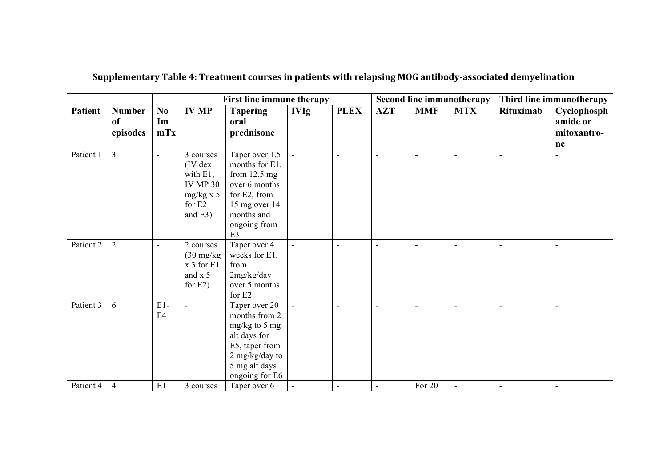|                |                                            |                             |                                                                                                      |                                                                                                                                                      | First line immune therapy |                | Second line immunotherapy |            |                          | Third line immunotherapy |                                              |
|----------------|--------------------------------------------|-----------------------------|------------------------------------------------------------------------------------------------------|------------------------------------------------------------------------------------------------------------------------------------------------------|---------------------------|----------------|---------------------------|------------|--------------------------|--------------------------|----------------------------------------------|
| <b>Patient</b> | <b>Number</b><br><sub>of</sub><br>episodes | N <sub>0</sub><br>Im<br>mTx | <b>IV MP</b>                                                                                         | <b>Tapering</b><br>oral<br>prednisone                                                                                                                | <b>IVIg</b>               | <b>PLEX</b>    | <b>AZT</b>                | <b>MMF</b> | <b>MTX</b>               | Rituximab                | Cyclophosph<br>amide or<br>mitoxantro-<br>ne |
| Patient 1      | 3                                          | ÷,                          | 3 courses<br>$(IV$ dex<br>with $E1$ ,<br><b>IV MP 30</b><br>$mg/kg \times 5$<br>for E2<br>and $E3$ ) | Taper over 1.5<br>months for E1,<br>from $12.5$ mg<br>over 6 months<br>for E2, from<br>15 mg over 14<br>months and<br>ongoing from<br>E <sub>3</sub> | $\Box$                    | $\overline{a}$ | $\sim$                    | L,         | $\blacksquare$           | $\sim$                   | $\overline{a}$                               |
| Patient 2      | $\overline{2}$                             | $\blacksquare$              | 2 courses<br>$(30 \text{ mg/kg})$<br>x 3 for E1<br>and $x$ 5<br>for $E2$ )                           | Taper over 4<br>weeks for E1,<br>from<br>2mg/kg/day<br>over 5 months<br>for E2                                                                       | $\blacksquare$            | $\overline{a}$ | $\overline{a}$            |            | $\overline{\phantom{0}}$ | $\overline{a}$           | $\overline{a}$                               |
| Patient 3      | 6                                          | $E1-$<br>E4                 | ÷,                                                                                                   | Taper over 20<br>months from 2<br>$mg/kg$ to 5 mg<br>alt days for<br>E5, taper from<br>2 mg/kg/day to<br>5 mg alt days<br>ongoing for E6             |                           | L,             | $\sim$                    |            |                          | L,                       | $\overline{a}$                               |
| Patient 4      | $\overline{4}$                             | E1                          | 3 courses                                                                                            | Taper over 6                                                                                                                                         |                           | $\blacksquare$ |                           | For 20     | $\blacksquare$           | $\blacksquare$           | $\overline{\phantom{a}}$                     |

## **Supplementary Table 4: Treatment courses in patients with relapsing MOG antibody-associated demyelination**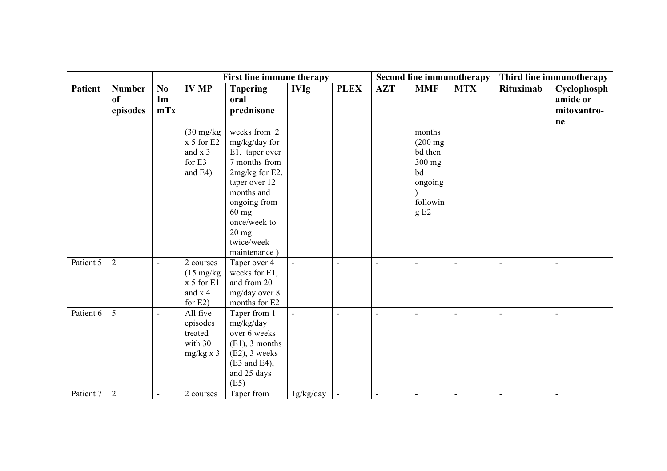|                |                                 |                  |                                                                                | First line immune therapy                                                                                                                                                                                     |                |                          |                          |                                                                                         | Second line immunotherapy | Third line immunotherapy |                                              |
|----------------|---------------------------------|------------------|--------------------------------------------------------------------------------|---------------------------------------------------------------------------------------------------------------------------------------------------------------------------------------------------------------|----------------|--------------------------|--------------------------|-----------------------------------------------------------------------------------------|---------------------------|--------------------------|----------------------------------------------|
| <b>Patient</b> | <b>Number</b><br>of<br>episodes | No.<br>Im<br>mTx | <b>IV MP</b>                                                                   | <b>Tapering</b><br>oral<br>prednisone                                                                                                                                                                         | <b>IVIg</b>    | <b>PLEX</b>              | <b>AZT</b>               | <b>MMF</b>                                                                              | <b>MTX</b>                | Rituximab                | Cyclophosph<br>amide or<br>mitoxantro-<br>ne |
|                |                                 |                  | $(30 \text{ mg/kg})$<br>x 5 for E2<br>and $x$ 3<br>for $E3$<br>and $E4$ )      | weeks from 2<br>mg/kg/day for<br>E1, taper over<br>7 months from<br>2mg/kg for E2,<br>taper over 12<br>months and<br>ongoing from<br>$60$ mg<br>once/week to<br>$20 \text{ mg}$<br>twice/week<br>maintenance) |                |                          |                          | months<br>$(200 \text{ mg})$<br>bd then<br>$300$ mg<br>bd<br>ongoing<br>followin<br>gE2 |                           |                          |                                              |
| Patient 5      | $\overline{2}$                  |                  | 2 courses<br>$(15 \text{ mg/kg})$<br>$x 5$ for $E1$<br>and $x$ 4<br>for $E2$ ) | Taper over 4<br>weeks for E1,<br>and from 20<br>mg/day over 8<br>months for E2                                                                                                                                |                | L,                       | $\overline{a}$           |                                                                                         | L,                        |                          |                                              |
| Patient 6      | 5                               | $\blacksquare$   | All five<br>episodes<br>treated<br>with 30<br>$mg/kg \times 3$                 | Taper from 1<br>mg/kg/day<br>over 6 weeks<br>$(E1)$ , 3 months<br>$(E2)$ , 3 weeks<br>$(E3 \text{ and } E4),$<br>and 25 days<br>(E5)                                                                          | $\overline{a}$ | $\overline{\phantom{a}}$ | $\overline{\phantom{0}}$ | $\sim$                                                                                  | $\overline{\phantom{a}}$  | $\overline{\phantom{a}}$ | $\sim$                                       |
| Patient 7      | $\overline{2}$                  | $\sim$           | 2 courses                                                                      | Taper from                                                                                                                                                                                                    | 1g/kg/day      | $\sim$                   | $\blacksquare$           |                                                                                         | $\blacksquare$            | $\blacksquare$           |                                              |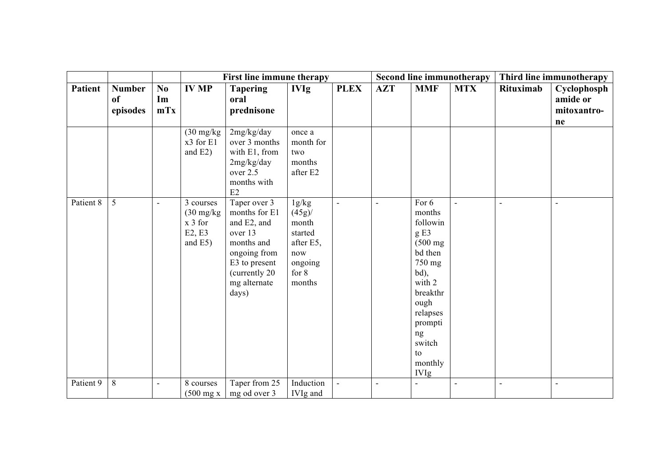|                |                                 |                          |                                                                        | First line immune therapy                                                                                                                         |                                                                                            |                |                          |                                                                                                                                                                                            | Second line immunotherapy | Third line immunotherapy |                                              |
|----------------|---------------------------------|--------------------------|------------------------------------------------------------------------|---------------------------------------------------------------------------------------------------------------------------------------------------|--------------------------------------------------------------------------------------------|----------------|--------------------------|--------------------------------------------------------------------------------------------------------------------------------------------------------------------------------------------|---------------------------|--------------------------|----------------------------------------------|
| <b>Patient</b> | <b>Number</b><br>of<br>episodes | No.<br>Im<br>mTx         | <b>IV MP</b>                                                           | <b>Tapering</b><br>oral<br>prednisone                                                                                                             | <b>IVIg</b>                                                                                | <b>PLEX</b>    | <b>AZT</b>               | <b>MMF</b>                                                                                                                                                                                 | <b>MTX</b>                | Rituximab                | Cyclophosph<br>amide or<br>mitoxantro-<br>ne |
|                |                                 |                          | $(30 \text{ mg/kg})$<br>x3 for E1<br>and $E2$ )                        | 2mg/kg/day<br>over 3 months<br>with E1, from<br>2mg/kg/day<br>over 2.5<br>months with<br>E2                                                       | once a<br>month for<br>two<br>months<br>after E2                                           |                |                          |                                                                                                                                                                                            |                           |                          |                                              |
| Patient 8      | 5                               | $\overline{\phantom{a}}$ | 3 courses<br>$(30 \text{ mg/kg})$<br>$x 3$ for<br>E2, E3<br>and $E5$ ) | Taper over 3<br>months for E1<br>and E2, and<br>over 13<br>months and<br>ongoing from<br>E3 to present<br>(currently 20)<br>mg alternate<br>days) | 1g/kg<br>$(45g)$ /<br>month<br>started<br>after E5,<br>now<br>ongoing<br>for $8$<br>months | $\blacksquare$ | $\overline{\phantom{a}}$ | For 6<br>months<br>followin<br>gE3<br>$(500 \text{ mg})$<br>bd then<br>750 mg<br>bd),<br>with 2<br>breakthr<br>ough<br>relapses<br>prompti<br>ng<br>switch<br>to<br>monthly<br><b>IVIg</b> | $\overline{\phantom{a}}$  | $\blacksquare$           | $\overline{\phantom{a}}$                     |
| Patient 9      | 8                               | $\sim$                   | 8 courses<br>$(500 \text{ mg x})$                                      | Taper from 25<br>mg od over 3                                                                                                                     | Induction<br>IVIg and                                                                      | $\blacksquare$ | ÷,                       | $\sim$                                                                                                                                                                                     | ÷,                        | $\overline{a}$           |                                              |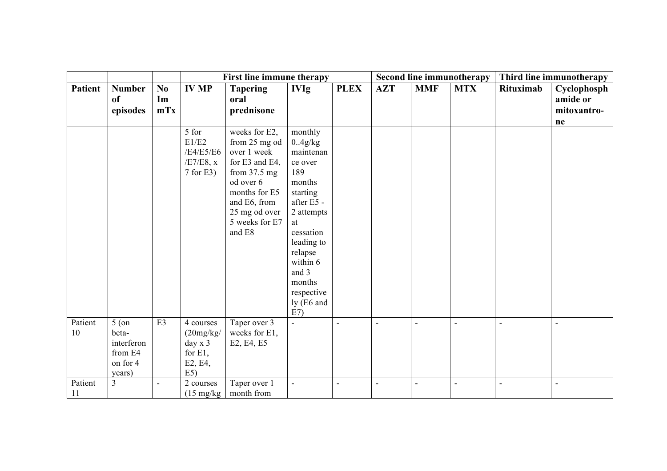|                |                                                                 |                                     |                                                                   | First line immune therapy                                                                                                                                                    |                                                                                                                                                                                                                   |             | <b>Second line immunotherapy</b> |                          |                | Third line immunotherapy |                                              |
|----------------|-----------------------------------------------------------------|-------------------------------------|-------------------------------------------------------------------|------------------------------------------------------------------------------------------------------------------------------------------------------------------------------|-------------------------------------------------------------------------------------------------------------------------------------------------------------------------------------------------------------------|-------------|----------------------------------|--------------------------|----------------|--------------------------|----------------------------------------------|
| <b>Patient</b> | <b>Number</b><br>of<br>episodes                                 | $\mathbf{N}\mathbf{0}$<br>Im<br>mTx | <b>IV MP</b>                                                      | <b>Tapering</b><br>oral<br>prednisone                                                                                                                                        | <b>IVIg</b>                                                                                                                                                                                                       | <b>PLEX</b> | <b>AZT</b>                       | <b>MMF</b>               | <b>MTX</b>     | Rituximab                | Cyclophosph<br>amide or<br>mitoxantro-<br>ne |
|                |                                                                 |                                     | 5 for<br>E1/E2<br>/E4/E5/E6<br>$/E7/E8$ , x<br>$7$ for E3)        | weeks for E2,<br>from 25 mg od<br>over 1 week<br>for E3 and E4,<br>from $37.5$ mg<br>od over 6<br>months for E5<br>and E6, from<br>25 mg od over<br>5 weeks for E7<br>and E8 | monthly<br>0.4g/kg<br>maintenan<br>ce over<br>189<br>months<br>starting<br>after E5 -<br>2 attempts<br>at<br>cessation<br>leading to<br>relapse<br>within 6<br>and 3<br>months<br>respective<br>ly (E6 and<br>E7) |             |                                  |                          |                |                          |                                              |
| Patient<br>10  | $5($ on<br>beta-<br>interferon<br>from E4<br>on for 4<br>years) | E3                                  | 4 courses<br>(20mg/kg)<br>day x 3<br>for $E1$ ,<br>E2, E4,<br>E5) | Taper over 3<br>weeks for E1,<br>E2, E4, E5                                                                                                                                  | $\mathbf{r}$                                                                                                                                                                                                      | ÷,          | $\blacksquare$                   | $\overline{\phantom{a}}$ | ÷,             | $\blacksquare$           | ÷,                                           |
| Patient<br>11  | $\overline{3}$                                                  | $\overline{\phantom{a}}$            | 2 courses<br>$(15 \text{ mg/kg})$                                 | Taper over 1<br>month from                                                                                                                                                   | $\overline{a}$                                                                                                                                                                                                    | ÷,          | $\blacksquare$                   |                          | $\blacksquare$ | $\overline{\phantom{0}}$ | $\blacksquare$                               |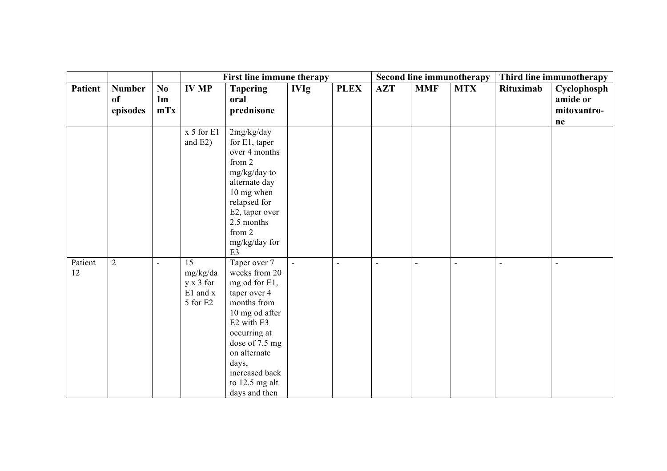|                |                |                |                | First line immune therapy |             |             |                |                | <b>Second line immunotherapy</b> | Third line immunotherapy |             |
|----------------|----------------|----------------|----------------|---------------------------|-------------|-------------|----------------|----------------|----------------------------------|--------------------------|-------------|
| <b>Patient</b> | <b>Number</b>  | No.            | <b>IV MP</b>   | <b>Tapering</b>           | <b>IVIg</b> | <b>PLEX</b> | <b>AZT</b>     | <b>MMF</b>     | <b>MTX</b>                       | Rituximab                | Cyclophosph |
|                | of             | Im             |                | oral                      |             |             |                |                |                                  |                          | amide or    |
|                | episodes       | mTx            |                | prednisone                |             |             |                |                |                                  |                          | mitoxantro- |
|                |                |                |                |                           |             |             |                |                |                                  |                          | ne          |
|                |                |                | $x 5$ for $E1$ | 2mg/kg/day                |             |             |                |                |                                  |                          |             |
|                |                |                | and $E2$ )     | for E1, taper             |             |             |                |                |                                  |                          |             |
|                |                |                |                | over 4 months             |             |             |                |                |                                  |                          |             |
|                |                |                |                | from 2                    |             |             |                |                |                                  |                          |             |
|                |                |                |                | mg/kg/day to              |             |             |                |                |                                  |                          |             |
|                |                |                |                | alternate day             |             |             |                |                |                                  |                          |             |
|                |                |                |                | 10 mg when                |             |             |                |                |                                  |                          |             |
|                |                |                |                | relapsed for              |             |             |                |                |                                  |                          |             |
|                |                |                |                | E2, taper over            |             |             |                |                |                                  |                          |             |
|                |                |                |                | 2.5 months                |             |             |                |                |                                  |                          |             |
|                |                |                |                | from 2                    |             |             |                |                |                                  |                          |             |
|                |                |                |                | mg/kg/day for             |             |             |                |                |                                  |                          |             |
|                |                |                |                | E <sub>3</sub>            |             |             |                |                |                                  |                          |             |
| Patient        | $\overline{2}$ | $\blacksquare$ | 15             | Taper over 7              | $\omega$    | L,          | $\blacksquare$ | $\blacksquare$ | $\overline{\phantom{a}}$         | $\blacksquare$           | ÷,          |
| 12             |                |                | mg/kg/da       | weeks from 20             |             |             |                |                |                                  |                          |             |
|                |                |                | y x 3 for      | mg od for E1,             |             |             |                |                |                                  |                          |             |
|                |                |                | E1 and x       | taper over 4              |             |             |                |                |                                  |                          |             |
|                |                |                | 5 for E2       | months from               |             |             |                |                |                                  |                          |             |
|                |                |                |                | 10 mg od after            |             |             |                |                |                                  |                          |             |
|                |                |                |                | E2 with E3                |             |             |                |                |                                  |                          |             |
|                |                |                |                | occurring at              |             |             |                |                |                                  |                          |             |
|                |                |                |                | dose of 7.5 mg            |             |             |                |                |                                  |                          |             |
|                |                |                |                | on alternate              |             |             |                |                |                                  |                          |             |
|                |                |                |                | days,                     |             |             |                |                |                                  |                          |             |
|                |                |                |                | increased back            |             |             |                |                |                                  |                          |             |
|                |                |                |                | to $12.5$ mg alt          |             |             |                |                |                                  |                          |             |
|                |                |                |                | days and then             |             |             |                |                |                                  |                          |             |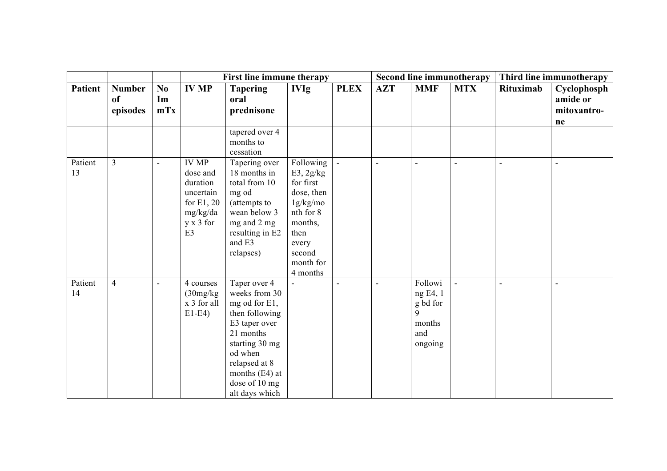|                |                                 |                                     |                                                                                                                     | First line immune therapy                                                                                                                                                                         |                                                                                                                                           |                          | Second line immunotherapy |                                                                                          |                | Third line immunotherapy |                                              |
|----------------|---------------------------------|-------------------------------------|---------------------------------------------------------------------------------------------------------------------|---------------------------------------------------------------------------------------------------------------------------------------------------------------------------------------------------|-------------------------------------------------------------------------------------------------------------------------------------------|--------------------------|---------------------------|------------------------------------------------------------------------------------------|----------------|--------------------------|----------------------------------------------|
| <b>Patient</b> | <b>Number</b><br>of<br>episodes | $\mathbf{N}\mathbf{0}$<br>Im<br>mTx | <b>IV MP</b>                                                                                                        | <b>Tapering</b><br>oral<br>prednisone                                                                                                                                                             | <b>IVIg</b>                                                                                                                               | <b>PLEX</b>              | <b>AZT</b>                | <b>MMF</b>                                                                               | <b>MTX</b>     | Rituximab                | Cyclophosph<br>amide or<br>mitoxantro-<br>ne |
|                |                                 |                                     |                                                                                                                     | tapered over 4<br>months to<br>cessation                                                                                                                                                          |                                                                                                                                           |                          |                           |                                                                                          |                |                          |                                              |
| Patient<br>13  | $\overline{3}$                  | $\overline{\phantom{a}}$            | <b>IV MP</b><br>dose and<br>duration<br>uncertain<br>for $E1, 20$<br>mg/kg/da<br>$y \times 3$ for<br>E <sub>3</sub> | Tapering over<br>18 months in<br>total from 10<br>mg od<br>(attempts to<br>wean below 3<br>mg and 2 mg<br>resulting in E2<br>and E3<br>relapses)                                                  | Following<br>E3, 2g/kg<br>for first<br>dose, then<br>1g/kg/mo<br>nth for 8<br>months,<br>then<br>every<br>second<br>month for<br>4 months | $\sim$                   | $\sim$                    | $\sim$                                                                                   | $\blacksquare$ | $\overline{a}$           | $\blacksquare$                               |
| Patient<br>14  | $\overline{4}$                  | $\overline{\phantom{a}}$            | 4 courses<br>(30mg/kg)<br>x 3 for all<br>$E1-E4$                                                                    | Taper over 4<br>weeks from 30<br>mg od for E1,<br>then following<br>E3 taper over<br>21 months<br>starting 30 mg<br>od when<br>relapsed at 8<br>months (E4) at<br>dose of 10 mg<br>alt days which | $\overline{\phantom{a}}$                                                                                                                  | $\overline{\phantom{a}}$ | $\overline{\phantom{a}}$  | Followi<br>ng E4, 1<br>$\ensuremath{\mathsf{g}}$ bd for<br>9<br>months<br>and<br>ongoing | $\Box$         | ÷,                       | ÷,                                           |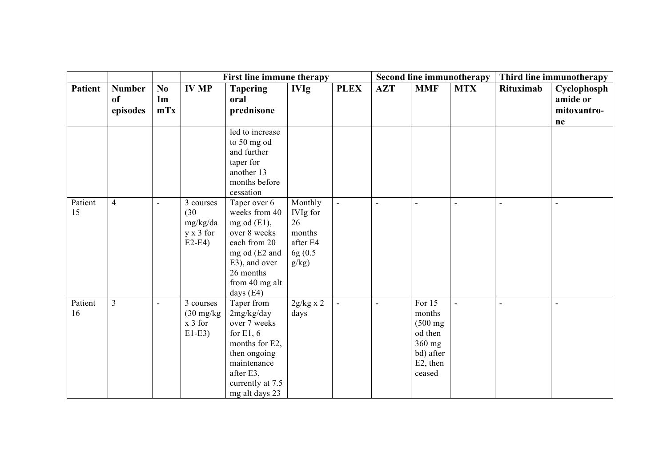|                |                                 |                                     |                                                              | First line immune therapy                                                                                                                                       |                                                                      |                | <b>Second line immunotherapy</b> |                                                                                                |            | Third line immunotherapy |                                              |
|----------------|---------------------------------|-------------------------------------|--------------------------------------------------------------|-----------------------------------------------------------------------------------------------------------------------------------------------------------------|----------------------------------------------------------------------|----------------|----------------------------------|------------------------------------------------------------------------------------------------|------------|--------------------------|----------------------------------------------|
| <b>Patient</b> | <b>Number</b><br>of<br>episodes | $\mathbf{N}\mathbf{0}$<br>Im<br>mTx | <b>IV MP</b>                                                 | <b>Tapering</b><br>oral<br>prednisone                                                                                                                           | <b>IVIg</b>                                                          | <b>PLEX</b>    | <b>AZT</b>                       | <b>MMF</b>                                                                                     | <b>MTX</b> | Rituximab                | Cyclophosph<br>amide or<br>mitoxantro-<br>ne |
|                |                                 |                                     |                                                              | led to increase<br>to 50 mg od<br>and further<br>taper for<br>another 13<br>months before<br>cessation                                                          |                                                                      |                |                                  |                                                                                                |            |                          |                                              |
| Patient<br>15  | $\overline{4}$                  |                                     | 3 courses<br>(30)<br>mg/kg/da<br>$y \times 3$ for<br>$E2-E4$ | Taper over 6<br>weeks from 40<br>mg od $(E1)$ ,<br>over 8 weeks<br>each from 20<br>mg od (E2 and<br>E3), and over<br>26 months<br>from 40 mg alt<br>days $(E4)$ | Monthly<br>IVIg for<br>26<br>months<br>after E4<br>6g (0.5)<br>g/kg) | $\Box$         | $\blacksquare$                   |                                                                                                | L,         |                          |                                              |
| Patient<br>16  | $\overline{3}$                  |                                     | 3 courses<br>$(30 \text{ mg/kg})$<br>$x 3$ for<br>$E1-E3$    | Taper from<br>2mg/kg/day<br>over 7 weeks<br>for $E1, 6$<br>months for E2,<br>then ongoing<br>maintenance<br>after E3,<br>currently at 7.5<br>mg alt days 23     | $2g/kg \times 2$<br>days                                             | $\blacksquare$ |                                  | For 15<br>months<br>$(500 \text{ mg})$<br>od then<br>360 mg<br>bd) after<br>E2, then<br>ceased |            |                          |                                              |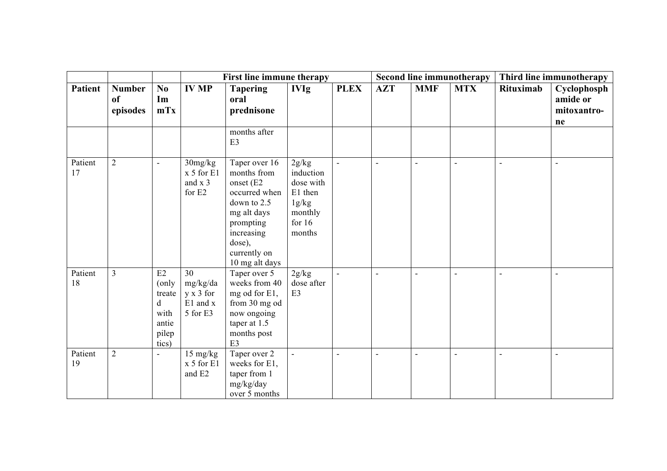|                |                                 |                                                               |                                                            | <b>First line immune therapy</b>                                                                                                                                |                                                                                      |                |                | <b>Second line immunotherapy</b> | Third line immunotherapy |                          |                                              |
|----------------|---------------------------------|---------------------------------------------------------------|------------------------------------------------------------|-----------------------------------------------------------------------------------------------------------------------------------------------------------------|--------------------------------------------------------------------------------------|----------------|----------------|----------------------------------|--------------------------|--------------------------|----------------------------------------------|
| <b>Patient</b> | <b>Number</b><br>of<br>episodes | $\bf No$<br>Im<br>mTx                                         | <b>IV MP</b>                                               | <b>Tapering</b><br>oral<br>prednisone<br>months after                                                                                                           | <b>IVIg</b>                                                                          | <b>PLEX</b>    | <b>AZT</b>     | <b>MMF</b>                       | <b>MTX</b>               | <b>Rituximab</b>         | Cyclophosph<br>amide or<br>mitoxantro-<br>ne |
|                |                                 |                                                               |                                                            | E3                                                                                                                                                              |                                                                                      |                |                |                                  |                          |                          |                                              |
| Patient<br>17  | $\overline{2}$                  | $\blacksquare$                                                | 30mg/kg<br>$x 5$ for $E1$<br>and $x$ 3<br>for E2           | Taper over 16<br>months from<br>onset (E2<br>occurred when<br>down to 2.5<br>mg alt days<br>prompting<br>increasing<br>dose),<br>currently on<br>10 mg alt days | 2g/kg<br>induction<br>dose with<br>E1 then<br>1g/kg<br>monthly<br>for $16$<br>months | $\sim$         |                | $\sim$                           |                          |                          |                                              |
| Patient<br>18  | $\overline{3}$                  | E2<br>(only<br>treate<br>d<br>with<br>antie<br>pilep<br>tics) | 30<br>mg/kg/da<br>$y \times 3$ for<br>E1 and x<br>5 for E3 | Taper over 5<br>weeks from 40<br>mg od for E1,<br>from 30 mg od<br>now ongoing<br>taper at 1.5<br>months post<br>E3                                             | 2g/kg<br>dose after<br>E <sub>3</sub>                                                | $\overline{a}$ | $\blacksquare$ |                                  |                          |                          |                                              |
| Patient<br>19  | $\overline{2}$                  |                                                               | 15 mg/kg<br>x 5 for E1<br>and E2                           | Taper over 2<br>weeks for E1,<br>taper from 1<br>mg/kg/day<br>over 5 months                                                                                     | $\overline{\phantom{a}}$                                                             | $\blacksquare$ | $\blacksquare$ | $\blacksquare$                   | $\blacksquare$           | $\overline{\phantom{0}}$ | $\overline{\phantom{a}}$                     |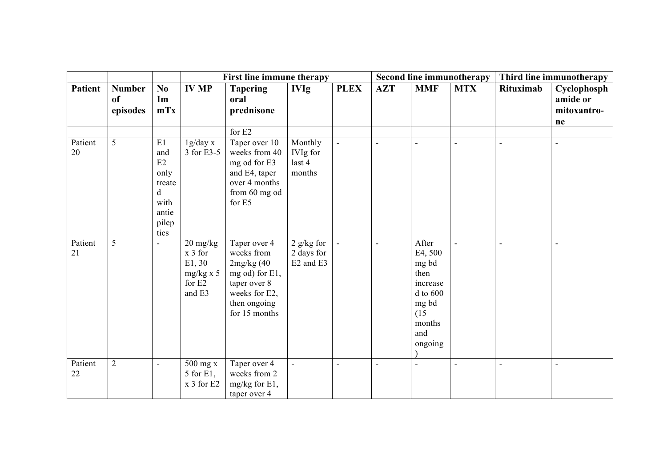|                |                                 |                                                                          |                                                                                                 | First line immune therapy                                                                                                    |                                                |                          |                |                                                                                                            | <b>Second line immunotherapy</b> |                  | Third line immunotherapy                     |
|----------------|---------------------------------|--------------------------------------------------------------------------|-------------------------------------------------------------------------------------------------|------------------------------------------------------------------------------------------------------------------------------|------------------------------------------------|--------------------------|----------------|------------------------------------------------------------------------------------------------------------|----------------------------------|------------------|----------------------------------------------|
| <b>Patient</b> | <b>Number</b><br>of<br>episodes | No<br>Im<br>mTx                                                          | <b>IV MP</b>                                                                                    | <b>Tapering</b><br>oral<br>prednisone                                                                                        | <b>IVIg</b>                                    | <b>PLEX</b>              | <b>AZT</b>     | <b>MMF</b>                                                                                                 | <b>MTX</b>                       | <b>Rituximab</b> | Cyclophosph<br>amide or<br>mitoxantro-<br>ne |
|                |                                 |                                                                          |                                                                                                 | for E2                                                                                                                       |                                                |                          |                |                                                                                                            |                                  |                  |                                              |
| Patient<br>20  | 5                               | E1<br>and<br>E2<br>only<br>treate<br>d<br>with<br>antie<br>pilep<br>tics | 1g/day x<br>3 for E3-5                                                                          | Taper over 10<br>weeks from 40<br>mg od for E3<br>and E4, taper<br>over 4 months<br>from 60 mg od<br>for E5                  | Monthly<br><b>IVIg</b> for<br>last 4<br>months | $\overline{\phantom{a}}$ |                |                                                                                                            | ÷                                | $\blacksquare$   | ÷,                                           |
| Patient<br>21  | 5                               |                                                                          | $20 \frac{\text{mg}}{\text{kg}}$<br>$x 3$ for<br>E1, 30<br>$mg/kg \times 5$<br>for E2<br>and E3 | Taper over 4<br>weeks from<br>2mg/kg(40)<br>mg od) for E1,<br>taper over 8<br>weeks for E2,<br>then ongoing<br>for 15 months | $2$ g/kg for<br>2 days for<br>E2 and E3        | $\overline{\phantom{a}}$ | $\blacksquare$ | After<br>E4, 500<br>mg bd<br>then<br>increase<br>$d$ to $600$<br>mg bd<br>(15)<br>months<br>and<br>ongoing | $\overline{\phantom{a}}$         | $\sim$           | L,                                           |
| Patient<br>22  | $\overline{2}$                  | $\blacksquare$                                                           | 500 mg x<br>5 for E1,<br>x 3 for E2                                                             | Taper over 4<br>weeks from 2<br>mg/kg for E1,<br>taper over 4                                                                | ä,                                             | ÷,                       |                |                                                                                                            | ÷                                |                  |                                              |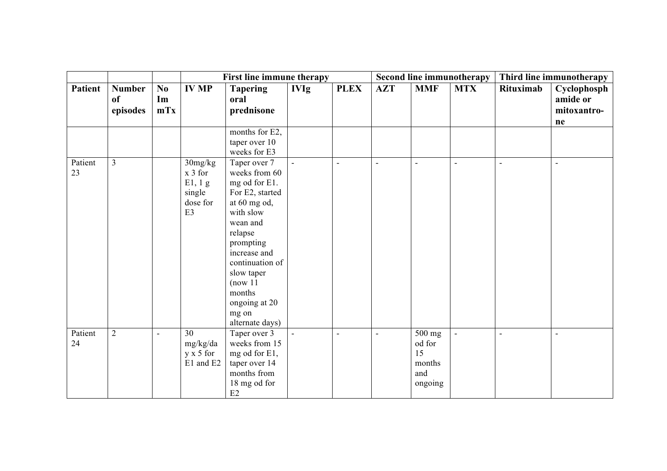|                |                                 |                          |                                                                        | First line immune therapy                                                                                                                                                                                                                              |                |             |                |                                                                 | Second line immunotherapy |                | Third line immunotherapy                     |
|----------------|---------------------------------|--------------------------|------------------------------------------------------------------------|--------------------------------------------------------------------------------------------------------------------------------------------------------------------------------------------------------------------------------------------------------|----------------|-------------|----------------|-----------------------------------------------------------------|---------------------------|----------------|----------------------------------------------|
| <b>Patient</b> | <b>Number</b><br>of<br>episodes | No<br>Im<br>mTx          | <b>IV MP</b>                                                           | <b>Tapering</b><br>oral<br>prednisone                                                                                                                                                                                                                  | <b>IVIg</b>    | <b>PLEX</b> | <b>AZT</b>     | <b>MMF</b>                                                      | <b>MTX</b>                | Rituximab      | Cyclophosph<br>amide or<br>mitoxantro-<br>ne |
|                |                                 |                          |                                                                        | months for E2,<br>taper over 10<br>weeks for E3                                                                                                                                                                                                        |                |             |                |                                                                 |                           |                |                                              |
| Patient<br>23  | $\overline{3}$                  |                          | 30mg/kg<br>$x 3$ for<br>E1, 1g<br>single<br>dose for<br>E <sub>3</sub> | Taper over 7<br>weeks from 60<br>mg od for E1.<br>For E2, started<br>at 60 mg od,<br>with slow<br>wean and<br>relapse<br>prompting<br>increase and<br>continuation of<br>slow taper<br>(now 11)<br>months<br>ongoing at 20<br>mg on<br>alternate days) | $\mathbf{r}$   | L,          | $\sim$         | $\sim$                                                          | $\overline{a}$            | $\overline{a}$ | $\overline{a}$                               |
| Patient<br>24  | $\overline{2}$                  | $\overline{\phantom{a}}$ | 30<br>mg/kg/da<br>$y \times 5$ for<br>E1 and E2                        | Taper over 3<br>weeks from 15<br>mg od for E1,<br>taper over 14<br>months from<br>18 mg od for<br>$\mathrm{E}2$                                                                                                                                        | $\blacksquare$ | L,          | $\blacksquare$ | $\overline{500}$ mg<br>od for<br>15<br>months<br>and<br>ongoing | $\overline{a}$            |                | $\blacksquare$                               |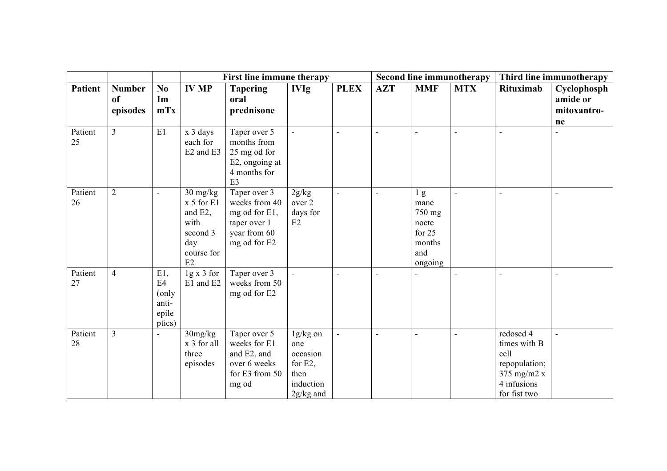|                |                                 |                                                 |                                                                                        | First line immune therapy                                                                       |                                                                               |                |                |                                                                                 | <b>Second line immunotherapy</b> | Third line immunotherapy                                                                            |                                              |
|----------------|---------------------------------|-------------------------------------------------|----------------------------------------------------------------------------------------|-------------------------------------------------------------------------------------------------|-------------------------------------------------------------------------------|----------------|----------------|---------------------------------------------------------------------------------|----------------------------------|-----------------------------------------------------------------------------------------------------|----------------------------------------------|
| <b>Patient</b> | <b>Number</b><br>of<br>episodes | $\bf No$<br>Im<br>mTx                           | <b>IV MP</b>                                                                           | <b>Tapering</b><br>oral<br>prednisone                                                           | <b>IVIg</b>                                                                   | <b>PLEX</b>    | <b>AZT</b>     | <b>MMF</b>                                                                      | <b>MTX</b>                       | <b>Rituximab</b>                                                                                    | Cyclophosph<br>amide or<br>mitoxantro-<br>ne |
| Patient<br>25  | $\overline{3}$                  | $\rm E1$                                        | x 3 days<br>each for<br>E <sub>2</sub> and E <sub>3</sub>                              | Taper over 5<br>months from<br>25 mg od for<br>E2, ongoing at<br>4 months for<br>E <sub>3</sub> |                                                                               | L,             |                |                                                                                 |                                  |                                                                                                     |                                              |
| Patient<br>26  | $\overline{2}$                  |                                                 | $30$ mg/kg<br>$x 5$ for $E1$<br>and E2,<br>with<br>second 3<br>day<br>course for<br>E2 | Taper over 3<br>weeks from 40<br>mg od for E1,<br>taper over 1<br>year from 60<br>mg od for E2  | 2g/kg<br>over 2<br>days for<br>E2                                             | $\overline{a}$ | $\overline{a}$ | 1 <sub>g</sub><br>mane<br>750 mg<br>nocte<br>for 25<br>months<br>and<br>ongoing | $\overline{a}$                   | $\overline{a}$                                                                                      | $\blacksquare$                               |
| Patient<br>27  | $\overline{4}$                  | E1,<br>E4<br>(only)<br>anti-<br>epile<br>ptics) | $1g \times 3$ for<br>E1 and E2                                                         | Taper over 3<br>weeks from 50<br>mg od for E2                                                   | $\sim$                                                                        |                | $\blacksquare$ |                                                                                 |                                  |                                                                                                     |                                              |
| Patient<br>28  | $\overline{3}$                  |                                                 | 30mg/kg<br>x 3 for all<br>three<br>episodes                                            | Taper over 5<br>weeks for E1<br>and E2, and<br>over 6 weeks<br>for E3 from 50<br>mg od          | 1g/kg on<br>one<br>occasion<br>for $E2$ ,<br>then<br>induction<br>$2g/kg$ and | ä,             |                |                                                                                 | $\overline{a}$                   | redosed 4<br>times with B<br>cell<br>repopulation;<br>375 mg/m $2 x$<br>4 infusions<br>for fist two |                                              |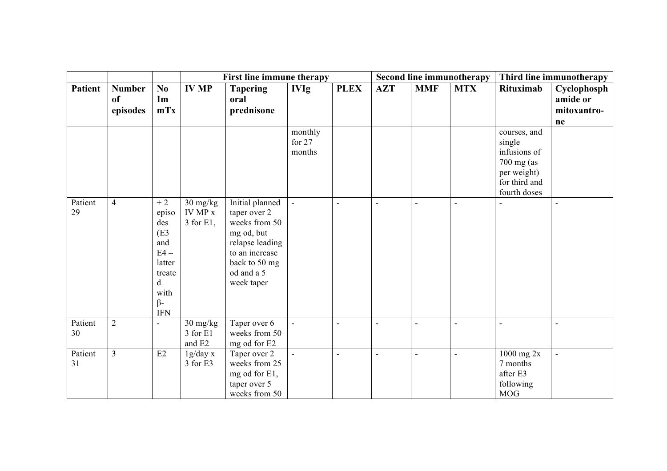|                |                                 |                                                                                                                       |                                            | First line immune therapy                                                                                                                        |                               |                |                | <b>Second line immunotherapy</b> |                |                                                                                                      | Third line immunotherapy                     |  |
|----------------|---------------------------------|-----------------------------------------------------------------------------------------------------------------------|--------------------------------------------|--------------------------------------------------------------------------------------------------------------------------------------------------|-------------------------------|----------------|----------------|----------------------------------|----------------|------------------------------------------------------------------------------------------------------|----------------------------------------------|--|
| <b>Patient</b> | <b>Number</b><br>of<br>episodes | No<br>Im<br>mTx                                                                                                       | <b>IV MP</b>                               | <b>Tapering</b><br>oral<br>prednisone                                                                                                            | <b>IVIg</b>                   | <b>PLEX</b>    | <b>AZT</b>     | <b>MMF</b>                       | <b>MTX</b>     | Rituximab                                                                                            | Cyclophosph<br>amide or<br>mitoxantro-<br>ne |  |
|                |                                 |                                                                                                                       |                                            |                                                                                                                                                  | monthly<br>for $27$<br>months |                |                |                                  |                | courses, and<br>single<br>infusions of<br>700 mg (as<br>per weight)<br>for third and<br>fourth doses |                                              |  |
| Patient<br>29  | $\overline{4}$                  | $+2$<br>episo<br>des<br>(E <sub>3</sub> )<br>and<br>$E4-$<br>latter<br>treate<br>d<br>with<br>$\beta$ -<br><b>IFN</b> | $30 \text{ mg/kg}$<br>IV MP x<br>3 for E1, | Initial planned<br>taper over 2<br>weeks from 50<br>mg od, but<br>relapse leading<br>to an increase<br>back to 50 mg<br>od and a 5<br>week taper | ÷,                            | L,             | $\sim$         | $\sim$                           | $\overline{a}$ |                                                                                                      |                                              |  |
| Patient<br>30  | $\overline{2}$                  |                                                                                                                       | $30$ mg/kg<br>3 for E1<br>and E2           | Taper over 6<br>weeks from 50<br>mg od for E2                                                                                                    | $\blacksquare$                | $\overline{a}$ | $\sim$         | $\sim$                           | $\overline{a}$ | $\overline{a}$                                                                                       | L,                                           |  |
| Patient<br>31  | $\overline{3}$                  | E2                                                                                                                    | 1g/day x<br>3 for E3                       | Taper over 2<br>weeks from 25<br>mg od for E1,<br>taper over 5<br>weeks from 50                                                                  | $\overline{\phantom{a}}$      | $\blacksquare$ | $\blacksquare$ | $\sim$                           | $\blacksquare$ | $1000$ mg $2x$<br>7 months<br>after E3<br>following<br><b>MOG</b>                                    | L.                                           |  |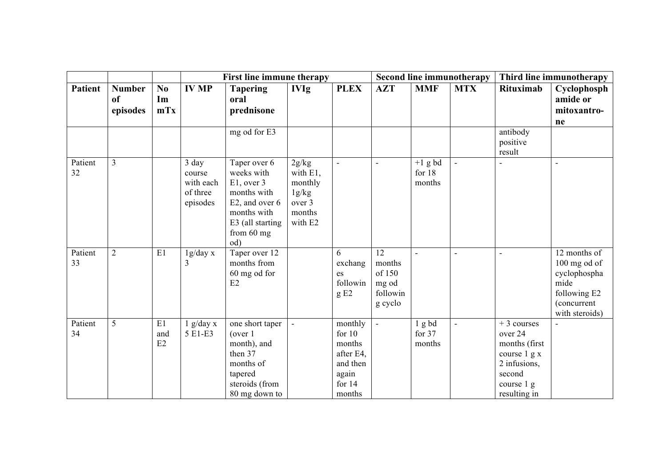|                |                                 |                             |                                                      | First line immune therapy                                                                                                            |                                                                      |                                                                                       |                                                        | <b>Second line immunotherapy</b> | Third line immunotherapy |                                                                                                                   |                                                                                                       |
|----------------|---------------------------------|-----------------------------|------------------------------------------------------|--------------------------------------------------------------------------------------------------------------------------------------|----------------------------------------------------------------------|---------------------------------------------------------------------------------------|--------------------------------------------------------|----------------------------------|--------------------------|-------------------------------------------------------------------------------------------------------------------|-------------------------------------------------------------------------------------------------------|
| <b>Patient</b> | <b>Number</b><br>of<br>episodes | N <sub>0</sub><br>Im<br>mTx | <b>IV MP</b>                                         | <b>Tapering</b><br>oral<br>prednisone                                                                                                | <b>IVIg</b>                                                          | <b>PLEX</b>                                                                           | <b>AZT</b>                                             | <b>MMF</b>                       | <b>MTX</b>               | <b>Rituximab</b>                                                                                                  | Cyclophosph<br>amide or<br>mitoxantro-<br>ne                                                          |
|                |                                 |                             |                                                      | mg od for E3                                                                                                                         |                                                                      |                                                                                       |                                                        |                                  |                          | antibody<br>positive<br>result                                                                                    |                                                                                                       |
| Patient<br>32  | $\overline{3}$                  |                             | 3 day<br>course<br>with each<br>of three<br>episodes | Taper over 6<br>weeks with<br>$E1$ , over 3<br>months with<br>E2, and over 6<br>months with<br>E3 (all starting<br>from 60 mg<br>od) | 2g/kg<br>with E1,<br>monthly<br>1g/kg<br>over 3<br>months<br>with E2 | $\overline{\phantom{a}}$                                                              |                                                        | $+1$ g bd<br>for $18$<br>months  | $\overline{a}$           |                                                                                                                   |                                                                                                       |
| Patient<br>33  | $\overline{2}$                  | E1                          | 1g/day x<br>3                                        | Taper over 12<br>months from<br>60 mg od for<br>E2                                                                                   |                                                                      | 6<br>exchang<br>es<br>followin<br>gE2                                                 | 12<br>months<br>of 150<br>mg od<br>followin<br>g cyclo | $\blacksquare$                   | $\overline{\phantom{a}}$ | $\overline{a}$                                                                                                    | 12 months of<br>100 mg od of<br>cyclophospha<br>mide<br>following E2<br>(concurrent<br>with steroids) |
| Patient<br>34  | 5                               | E1<br>and<br>E2             | $1$ g/day x<br>5 E1-E3                               | one short taper<br>(over 1)<br>month), and<br>then 37<br>months of<br>tapered<br>steroids (from<br>80 mg down to                     | $\Box$                                                               | monthly<br>for $10$<br>months<br>after E4,<br>and then<br>again<br>for $14$<br>months | $\overline{a}$                                         | 1gbd<br>for 37<br>months         | ÷,                       | $+3$ courses<br>over 24<br>months (first)<br>course 1 g x<br>2 infusions,<br>second<br>course 1 g<br>resulting in |                                                                                                       |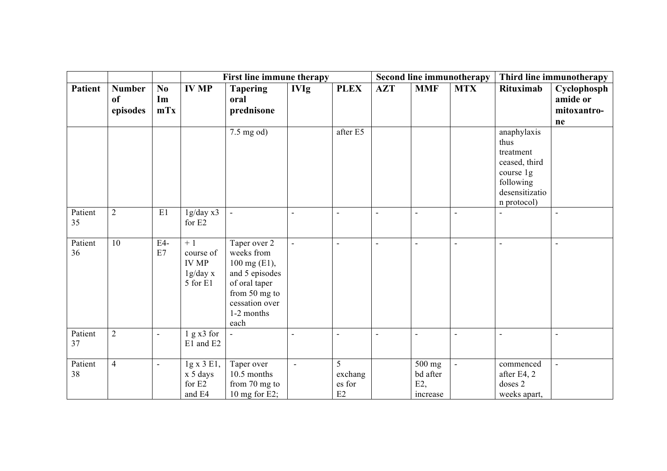|                |                                 |                 |                                                           | First line immune therapy                                                                                                              |                |                              | Second line immunotherapy |                                       |                          | Third line immunotherapy                                                                                     |                                              |
|----------------|---------------------------------|-----------------|-----------------------------------------------------------|----------------------------------------------------------------------------------------------------------------------------------------|----------------|------------------------------|---------------------------|---------------------------------------|--------------------------|--------------------------------------------------------------------------------------------------------------|----------------------------------------------|
| <b>Patient</b> | <b>Number</b><br>of<br>episodes | No<br>Im<br>mTx | <b>IV MP</b>                                              | <b>Tapering</b><br>oral<br>prednisone                                                                                                  | <b>IVIg</b>    | <b>PLEX</b>                  | <b>AZT</b>                | <b>MMF</b>                            | <b>MTX</b>               | Rituximab                                                                                                    | Cyclophosph<br>amide or<br>mitoxantro-<br>ne |
|                |                                 |                 |                                                           | $7.5 \text{ mg od}$                                                                                                                    |                | after E5                     |                           |                                       |                          | anaphylaxis<br>thus<br>treatment<br>ceased, third<br>course 1g<br>following<br>desensitizatio<br>n protocol) |                                              |
| Patient<br>35  | $\overline{2}$                  | E1              | 1g/day x3<br>for E2                                       | $\overline{\phantom{a}}$                                                                                                               | $\overline{a}$ | $\overline{\phantom{a}}$     | $\blacksquare$            |                                       | $\blacksquare$           |                                                                                                              |                                              |
| Patient<br>36  | 10                              | E4-<br>E7       | $+1$<br>course of<br><b>IV MP</b><br>1g/day x<br>5 for E1 | Taper over 2<br>weeks from<br>100 mg (E1),<br>and 5 episodes<br>of oral taper<br>from 50 mg to<br>cessation over<br>1-2 months<br>each | L,             | $\overline{a}$               | $\overline{a}$            | $\sim$                                | $\overline{a}$           | $\overline{a}$                                                                                               |                                              |
| Patient<br>37  | $\overline{2}$                  | $\overline{a}$  | 1 g x 3 for<br>E1 and E2                                  | $\blacksquare$                                                                                                                         | $\overline{a}$ | $\overline{a}$               | $\overline{a}$            | $\sim$                                | $\overline{a}$           | $\sim$                                                                                                       | L,                                           |
| Patient<br>38  | $\overline{4}$                  | $\blacksquare$  | 1g x 3 E1,<br>x 5 days<br>for E2<br>and E4                | Taper over<br>10.5 months<br>from 70 mg to<br>10 mg for $E2$ ;                                                                         | $\blacksquare$ | 5<br>exchang<br>es for<br>E2 |                           | 500 mg<br>bd after<br>E2,<br>increase | $\overline{\phantom{a}}$ | commenced<br>after E4, 2<br>doses 2<br>weeks apart,                                                          | $\overline{a}$                               |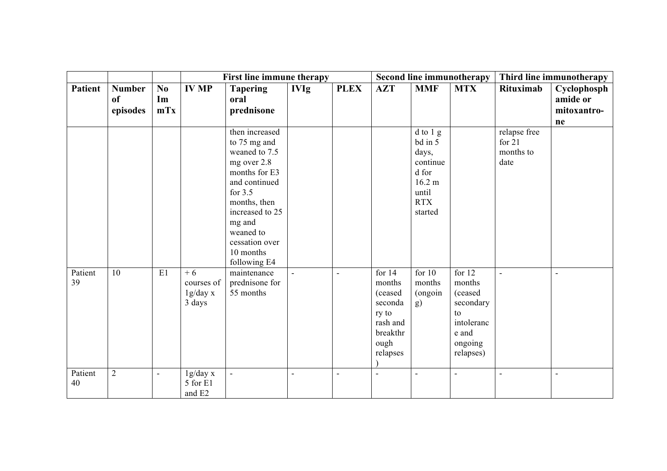|                |                                 |                                     |                                          | <b>First line immune therapy</b>                                                                                                                                                                                       |                |             |                                                                                               |                                                                                               | <b>Second line immunotherapy</b>                                                                | Third line immunotherapy                      |                                              |
|----------------|---------------------------------|-------------------------------------|------------------------------------------|------------------------------------------------------------------------------------------------------------------------------------------------------------------------------------------------------------------------|----------------|-------------|-----------------------------------------------------------------------------------------------|-----------------------------------------------------------------------------------------------|-------------------------------------------------------------------------------------------------|-----------------------------------------------|----------------------------------------------|
| <b>Patient</b> | <b>Number</b><br>of<br>episodes | $\mathbf{N}\mathbf{0}$<br>Im<br>mTx | <b>IV MP</b>                             | <b>Tapering</b><br>oral<br>prednisone                                                                                                                                                                                  | <b>IVIg</b>    | <b>PLEX</b> | <b>AZT</b>                                                                                    | <b>MMF</b>                                                                                    | <b>MTX</b>                                                                                      | Rituximab                                     | Cyclophosph<br>amide or<br>mitoxantro-<br>ne |
|                |                                 |                                     |                                          | then increased<br>to 75 mg and<br>weaned to 7.5<br>mg over 2.8<br>months for E3<br>and continued<br>for $3.5$<br>months, then<br>increased to 25<br>mg and<br>weaned to<br>cessation over<br>10 months<br>following E4 |                |             |                                                                                               | d to 1 g<br>bd in 5<br>days,<br>continue<br>d for<br>16.2 m<br>until<br><b>RTX</b><br>started |                                                                                                 | relapse free<br>for $21$<br>months to<br>date |                                              |
| Patient<br>39  | 10                              | E1                                  | $+6$<br>courses of<br>1g/day x<br>3 days | maintenance<br>prednisone for<br>55 months                                                                                                                                                                             | $\blacksquare$ | ÷           | for $14$<br>months<br>(ceased<br>seconda<br>ry to<br>rash and<br>breakthr<br>ough<br>relapses | for $10$<br>months<br>(ongoin<br>g)                                                           | for $12$<br>months<br>(ceased<br>secondary<br>to<br>intoleranc<br>e and<br>ongoing<br>relapses) | ÷,                                            | $\overline{a}$                               |
| Patient<br>40  | $\overline{2}$                  |                                     | 1g/day x<br>5 for E1<br>and E2           | $\blacksquare$                                                                                                                                                                                                         | $\overline{a}$ | L,          | $\overline{a}$                                                                                |                                                                                               | $\overline{a}$                                                                                  | $\overline{a}$                                |                                              |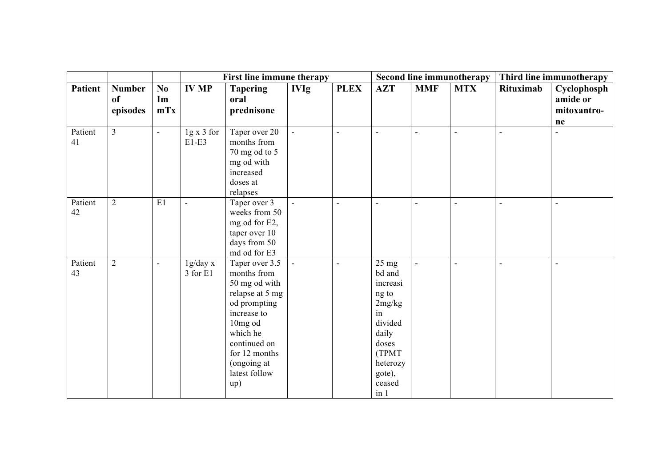|                |                                 |                                     |                              | <b>First line immune therapy</b>                                                                                                                                                                |                          |             |                                                                                                                                               |            | <b>Second line immunotherapy</b> | Third line immunotherapy |                                              |
|----------------|---------------------------------|-------------------------------------|------------------------------|-------------------------------------------------------------------------------------------------------------------------------------------------------------------------------------------------|--------------------------|-------------|-----------------------------------------------------------------------------------------------------------------------------------------------|------------|----------------------------------|--------------------------|----------------------------------------------|
| <b>Patient</b> | <b>Number</b><br>of<br>episodes | $\mathbf{N}\mathbf{0}$<br>Im<br>mTx | <b>IV MP</b>                 | <b>Tapering</b><br>oral<br>prednisone                                                                                                                                                           | <b>IVIg</b>              | <b>PLEX</b> | <b>AZT</b>                                                                                                                                    | <b>MMF</b> | <b>MTX</b>                       | <b>Rituximab</b>         | Cyclophosph<br>amide or<br>mitoxantro-<br>ne |
| Patient<br>41  | $\overline{3}$                  |                                     | $1g \times 3$ for<br>$E1-E3$ | Taper over 20<br>months from<br>70 mg od to 5<br>mg od with<br>increased<br>doses at<br>relapses                                                                                                | $\overline{\phantom{a}}$ | ÷,          | $\blacksquare$                                                                                                                                |            | L,                               | $\blacksquare$           |                                              |
| Patient<br>42  | $\overline{2}$                  | E1                                  | $\sim$                       | Taper over 3<br>weeks from 50<br>mg od for E2,<br>taper over 10<br>days from 50<br>md od for E3                                                                                                 | ä,                       | ÷,          | $\blacksquare$                                                                                                                                |            | Ē,                               | $\sim$                   |                                              |
| Patient<br>43  | $\overline{2}$                  |                                     | 1g/day x<br>3 for E1         | Taper over 3.5<br>months from<br>50 mg od with<br>relapse at 5 mg<br>od prompting<br>increase to<br>10mg od<br>which he<br>continued on<br>for 12 months<br>(ongoing at<br>latest follow<br>up) | ÷,                       | ÷,          | $25 \text{ mg}$<br>bd and<br>increasi<br>ng to<br>2mg/kg<br>in<br>divided<br>daily<br>doses<br>(TPMT)<br>heterozy<br>gote),<br>ceased<br>in 1 |            | Ĭ.                               |                          | L,                                           |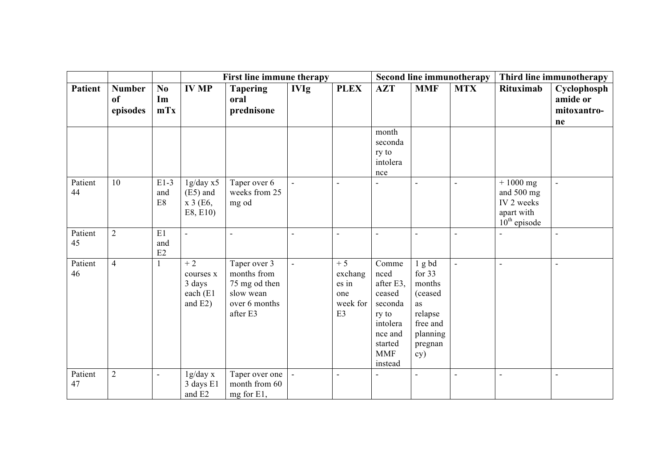|                |                                 |                                |                                                       | First line immune therapy                                                              |                          |                                                   |                                                                                                                     |                                                                                                      | <b>Second line immunotherapy</b> | Third line immunotherapy                                                  |                                              |
|----------------|---------------------------------|--------------------------------|-------------------------------------------------------|----------------------------------------------------------------------------------------|--------------------------|---------------------------------------------------|---------------------------------------------------------------------------------------------------------------------|------------------------------------------------------------------------------------------------------|----------------------------------|---------------------------------------------------------------------------|----------------------------------------------|
| <b>Patient</b> | <b>Number</b><br>of<br>episodes | N <sub>0</sub><br>Im<br>mTx    | <b>IV MP</b>                                          | <b>Tapering</b><br>oral<br>prednisone                                                  | <b>IVIg</b>              | <b>PLEX</b>                                       | <b>AZT</b>                                                                                                          | <b>MMF</b>                                                                                           | <b>MTX</b>                       | Rituximab                                                                 | Cyclophosph<br>amide or<br>mitoxantro-<br>ne |
|                |                                 |                                |                                                       |                                                                                        |                          |                                                   | month<br>seconda<br>ry to<br>intolera<br>nce                                                                        |                                                                                                      |                                  |                                                                           |                                              |
| Patient<br>44  | 10                              | $E1-3$<br>and<br>$\mathrm{E}8$ | 1g/day x5<br>$(E5)$ and<br>x 3 (E6,<br>E8, E10)       | Taper over 6<br>weeks from 25<br>mg od                                                 | ä,                       | ÷,                                                |                                                                                                                     |                                                                                                      | $\blacksquare$                   | $+1000$ mg<br>and 500 mg<br>IV 2 weeks<br>apart with<br>$10^{th}$ episode |                                              |
| Patient<br>45  | $\overline{2}$                  | E1<br>and<br>$\rm E2$          | $\overline{a}$                                        | $\overline{\phantom{a}}$                                                               | $\overline{a}$           | $\blacksquare$                                    |                                                                                                                     |                                                                                                      | $\sim$                           |                                                                           |                                              |
| Patient<br>46  | $\overline{4}$                  | 1                              | $+2$<br>courses x<br>3 days<br>each (E1<br>and $E2$ ) | Taper over 3<br>months from<br>75 mg od then<br>slow wean<br>over 6 months<br>after E3 | $\overline{\phantom{a}}$ | $+5$<br>exchang<br>es in<br>one<br>week for<br>E3 | Comme<br>nced<br>after E3.<br>ceased<br>seconda<br>ry to<br>intolera<br>nce and<br>started<br><b>MMF</b><br>instead | $1$ g bd<br>for $33$<br>months<br>(ceased<br>as<br>relapse<br>free and<br>planning<br>pregnan<br>cy) | $\overline{\phantom{a}}$         | $\sim$                                                                    |                                              |
| Patient<br>47  | $\overline{2}$                  |                                | 1g/day x<br>3 days E1<br>and E2                       | Taper over one<br>month from 60<br>mg for E1,                                          | ÷,                       | L,                                                |                                                                                                                     |                                                                                                      |                                  |                                                                           |                                              |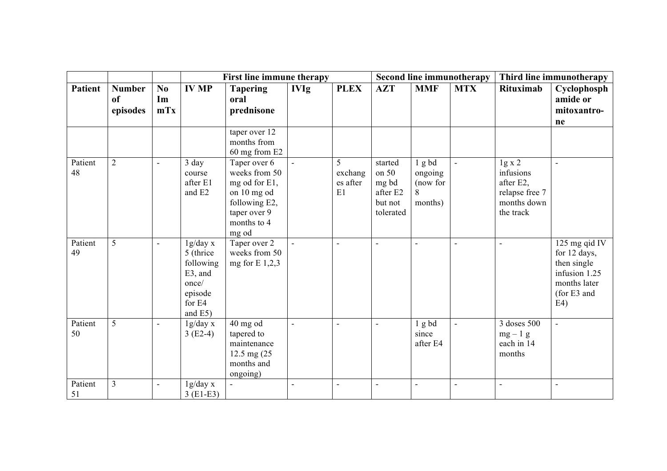|               |                                            |                 | <b>First line immune therapy</b>                                                        |                                                                                                                        |                |                                |                                                               |                                               | <b>Second line immunotherapy</b> | Third line immunotherapy                                                       |                                                                                                     |
|---------------|--------------------------------------------|-----------------|-----------------------------------------------------------------------------------------|------------------------------------------------------------------------------------------------------------------------|----------------|--------------------------------|---------------------------------------------------------------|-----------------------------------------------|----------------------------------|--------------------------------------------------------------------------------|-----------------------------------------------------------------------------------------------------|
| Patient       | <b>Number</b><br><sub>of</sub><br>episodes | No<br>Im<br>mTx | <b>IV MP</b>                                                                            | <b>Tapering</b><br>oral<br>prednisone                                                                                  | <b>IVIg</b>    | <b>PLEX</b>                    | <b>AZT</b>                                                    | <b>MMF</b>                                    | <b>MTX</b>                       | Rituximab                                                                      | Cyclophosph<br>amide or<br>mitoxantro-<br>ne                                                        |
|               |                                            |                 |                                                                                         | taper over 12<br>months from<br>60 mg from E2                                                                          |                |                                |                                                               |                                               |                                  |                                                                                |                                                                                                     |
| Patient<br>48 | $\overline{2}$                             | $\sim$          | 3 day<br>course<br>after E1<br>and E2                                                   | Taper over 6<br>weeks from 50<br>mg od for E1,<br>on 10 mg od<br>following E2,<br>taper over 9<br>months to 4<br>mg od |                | 5<br>exchang<br>es after<br>E1 | started<br>on 50<br>mg bd<br>after E2<br>but not<br>tolerated | 1 g bd<br>ongoing<br>(now for<br>8<br>months) |                                  | 1g x 2<br>infusions<br>after E2,<br>relapse free 7<br>months down<br>the track |                                                                                                     |
| Patient<br>49 | 5                                          | $\blacksquare$  | 1g/day x<br>5 (thrice)<br>following<br>E3, and<br>once/<br>episode<br>for E4<br>and E5) | Taper over 2<br>weeks from 50<br>mg for $E$ 1,2,3                                                                      |                | ÷                              | $\blacksquare$                                                |                                               | ÷,                               | $\blacksquare$                                                                 | 125 mg qid IV<br>for 12 days,<br>then single<br>infusion 1.25<br>months later<br>(for E3 and<br>E4) |
| Patient<br>50 | 5                                          | $\blacksquare$  | 1g/day x<br>$3(E2-4)$                                                                   | $40$ mg od<br>tapered to<br>maintenance<br>12.5 mg (25)<br>months and<br>ongoing)                                      | L,             | ÷,                             | $\overline{\phantom{a}}$                                      | 1 g bd<br>since<br>after E4                   | ÷,                               | 3 doses 500<br>$mg-1$ g<br>each in 14<br>months                                |                                                                                                     |
| Patient<br>51 | $\overline{3}$                             | $\sim$          | 1g/day x<br>$3(E1-E3)$                                                                  | $\sim$                                                                                                                 | $\overline{a}$ | ÷,                             | $\blacksquare$                                                |                                               | ä,                               | $\overline{a}$                                                                 |                                                                                                     |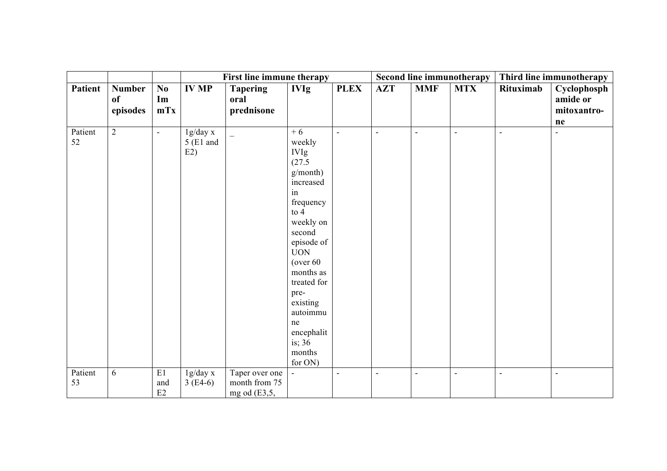|                |                                 |                        |                                | First line immune therapy                         |                                                                                                                                                                                                                                                                                |                |                |                | <b>Second line immunotherapy</b> | Third line immunotherapy |                                              |
|----------------|---------------------------------|------------------------|--------------------------------|---------------------------------------------------|--------------------------------------------------------------------------------------------------------------------------------------------------------------------------------------------------------------------------------------------------------------------------------|----------------|----------------|----------------|----------------------------------|--------------------------|----------------------------------------------|
| <b>Patient</b> | <b>Number</b><br>of<br>episodes | $\bf{No}$<br>Im<br>mTx | <b>IV MP</b>                   | <b>Tapering</b><br>oral<br>prednisone             | <b>IVIg</b>                                                                                                                                                                                                                                                                    | <b>PLEX</b>    | <b>AZT</b>     | <b>MMF</b>     | <b>MTX</b>                       | Rituximab                | Cyclophosph<br>amide or<br>mitoxantro-<br>ne |
| Patient<br>52  | $\overline{2}$                  | $\blacksquare$         | 1g/day x<br>$5$ (E1 and<br>E2) | $\overline{\phantom{0}}$                          | $+6$<br>weekly<br><b>IVIg</b><br>(27.5)<br>g/month)<br>increased<br>in<br>frequency<br>to $4$<br>weekly on<br>second<br>episode of<br><b>UON</b><br>(over 60)<br>months as<br>treated for<br>pre-<br>existing<br>autoimmu<br>ne<br>encephalit<br>is; $36$<br>months<br>for ON) | $\overline{a}$ | $\blacksquare$ | $\sim$         | $\overline{a}$                   | $\sim$                   | $\blacksquare$                               |
| Patient<br>53  | 6                               | $\rm E1$<br>and<br>E2  | 1g/day x<br>$3(E4-6)$          | Taper over one<br>month from 75<br>mg od $(E3,5,$ | $\blacksquare$                                                                                                                                                                                                                                                                 | $\sim$         | $\blacksquare$ | $\blacksquare$ | $\overline{a}$                   | $\sim$                   | $\overline{\phantom{a}}$                     |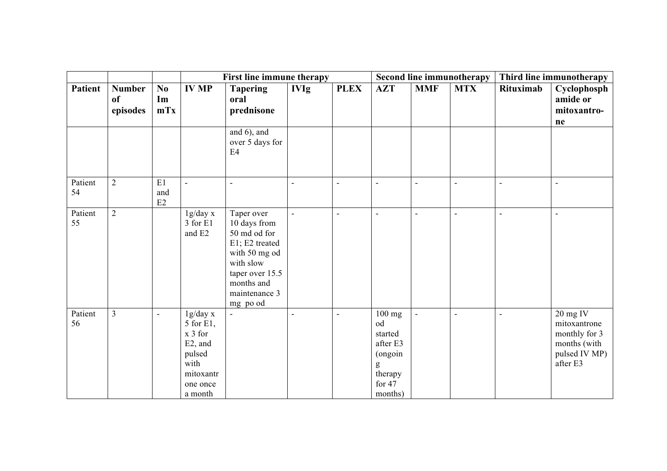|                |                                 |                                     |                                                                                                     | First line immune therapy                                                                                                                                |                          |                | Second line immunotherapy                                                          | Third line immunotherapy |                          |                |                                                                                          |
|----------------|---------------------------------|-------------------------------------|-----------------------------------------------------------------------------------------------------|----------------------------------------------------------------------------------------------------------------------------------------------------------|--------------------------|----------------|------------------------------------------------------------------------------------|--------------------------|--------------------------|----------------|------------------------------------------------------------------------------------------|
| <b>Patient</b> | <b>Number</b><br>of<br>episodes | $\mathbf{N}\mathbf{0}$<br>Im<br>mTx | <b>IV MP</b>                                                                                        | <b>Tapering</b><br>oral<br>prednisone                                                                                                                    | <b>IVIg</b>              | <b>PLEX</b>    | <b>AZT</b>                                                                         | <b>MMF</b>               | <b>MTX</b>               | Rituximab      | Cyclophosph<br>amide or<br>mitoxantro-<br>ne                                             |
|                |                                 |                                     |                                                                                                     | and 6), and<br>over 5 days for<br>E4                                                                                                                     |                          |                |                                                                                    |                          |                          |                |                                                                                          |
| Patient<br>54  | $\overline{2}$                  | E1<br>and<br>E2                     | $\blacksquare$                                                                                      | $\overline{\phantom{a}}$                                                                                                                                 | $\blacksquare$           | $\overline{a}$ | $\blacksquare$                                                                     | $\sim$                   | $\overline{a}$           | $\mathbf{r}$   | $\overline{a}$                                                                           |
| Patient<br>55  | $\overline{2}$                  |                                     | 1g/day x<br>3 for E1<br>and E2                                                                      | Taper over<br>10 days from<br>50 md od for<br>E1; E2 treated<br>with 50 mg od<br>with slow<br>taper over 15.5<br>months and<br>maintenance 3<br>mg po od | $\overline{\phantom{a}}$ | $\blacksquare$ | $\blacksquare$                                                                     | $\blacksquare$           | $\blacksquare$           | $\blacksquare$ | $\blacksquare$                                                                           |
| Patient<br>56  | $\overline{3}$                  | $\blacksquare$                      | 1g/day x<br>5 for E1,<br>$x 3$ for<br>E2, and<br>pulsed<br>with<br>mitoxantr<br>one once<br>a month |                                                                                                                                                          | $\blacksquare$           | $\blacksquare$ | $100$ mg<br>od<br>started<br>after E3<br>(ongoin<br>therapy<br>for $47$<br>months) | $\blacksquare$           | $\overline{\phantom{a}}$ | $\blacksquare$ | $20$ mg IV<br>mitoxantrone<br>monthly for 3<br>months (with<br>pulsed IV MP)<br>after E3 |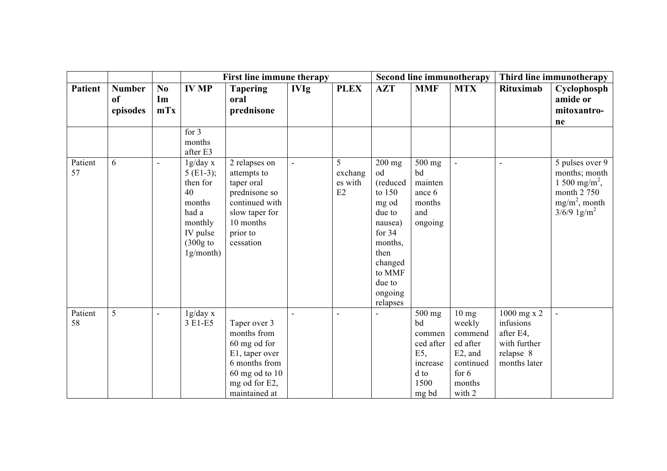|                |                     |                          |                         | <b>First line immune therapy</b> |             |                    |                | Second line immunotherapy | Third line immunotherapy |                           |                                            |
|----------------|---------------------|--------------------------|-------------------------|----------------------------------|-------------|--------------------|----------------|---------------------------|--------------------------|---------------------------|--------------------------------------------|
| <b>Patient</b> | <b>Number</b><br>of | No<br>Im                 | <b>IV MP</b>            | <b>Tapering</b><br>oral          | <b>IVIg</b> | <b>PLEX</b>        | <b>AZT</b>     | <b>MMF</b>                | <b>MTX</b>               | <b>Rituximab</b>          | Cyclophosph<br>amide or                    |
|                | episodes            | mTx                      |                         | prednisone                       |             |                    |                |                           |                          |                           | mitoxantro-                                |
|                |                     |                          |                         |                                  |             |                    |                |                           |                          |                           | ne                                         |
|                |                     |                          | for 3                   |                                  |             |                    |                |                           |                          |                           |                                            |
|                |                     |                          | months                  |                                  |             |                    |                |                           |                          |                           |                                            |
|                |                     |                          | after E3                |                                  |             |                    |                |                           |                          |                           |                                            |
| Patient<br>57  | 6                   | $\overline{\phantom{a}}$ | 1g/day x                | 2 relapses on                    |             | 5                  | $200$ mg<br>od | 500 mg<br>bd              | $\blacksquare$           |                           | 5 pulses over 9                            |
|                |                     |                          | $5$ (E1-3);<br>then for | attempts to<br>taper oral        |             | exchang<br>es with | (reduced       | mainten                   |                          |                           | months; month<br>1 500 mg/m <sup>2</sup> , |
|                |                     |                          | 40                      | prednisone so                    |             | E2                 | to $150$       | ance 6                    |                          |                           | month 2 750                                |
|                |                     |                          | months                  | continued with                   |             |                    | mg od          | months                    |                          |                           | $mg/m^2$ , month                           |
|                |                     |                          | had a                   | slow taper for                   |             |                    | due to         | and                       |                          |                           | $3/6/9$ 1g/m <sup>2</sup>                  |
|                |                     |                          | monthly                 | 10 months                        |             |                    | nausea)        | ongoing                   |                          |                           |                                            |
|                |                     |                          | IV pulse                | prior to                         |             |                    | for $34$       |                           |                          |                           |                                            |
|                |                     |                          | $(300g)$ to             | cessation                        |             |                    | months,        |                           |                          |                           |                                            |
|                |                     |                          | $1g/mol$ )              |                                  |             |                    | then           |                           |                          |                           |                                            |
|                |                     |                          |                         |                                  |             |                    | changed        |                           |                          |                           |                                            |
|                |                     |                          |                         |                                  |             |                    | to MMF         |                           |                          |                           |                                            |
|                |                     |                          |                         |                                  |             |                    | due to         |                           |                          |                           |                                            |
|                |                     |                          |                         |                                  |             |                    | ongoing        |                           |                          |                           |                                            |
|                |                     |                          |                         |                                  |             |                    | relapses       |                           |                          |                           |                                            |
| Patient        | 5                   |                          | 1g/day x                |                                  |             | ÷,                 |                | 500 mg                    | $10 \text{ mg}$          | $1000$ mg x 2             |                                            |
| 58             |                     |                          | 3 E1-E5                 | Taper over 3<br>months from      |             |                    |                | bd                        | weekly                   | infusions                 |                                            |
|                |                     |                          |                         | 60 mg od for                     |             |                    |                | commen<br>ced after       | commend<br>ed after      | after E4,<br>with further |                                            |
|                |                     |                          |                         | E1, taper over                   |             |                    |                | E5,                       | $E2$ , and               | relapse 8                 |                                            |
|                |                     |                          |                         | 6 months from                    |             |                    |                | increase                  | continued                | months later              |                                            |
|                |                     |                          |                         | 60 mg od to 10                   |             |                    |                | d to                      | for $6$                  |                           |                                            |
|                |                     |                          |                         | mg od for E2,                    |             |                    |                | 1500                      | months                   |                           |                                            |
|                |                     |                          |                         | maintained at                    |             |                    |                | mg bd                     | with 2                   |                           |                                            |